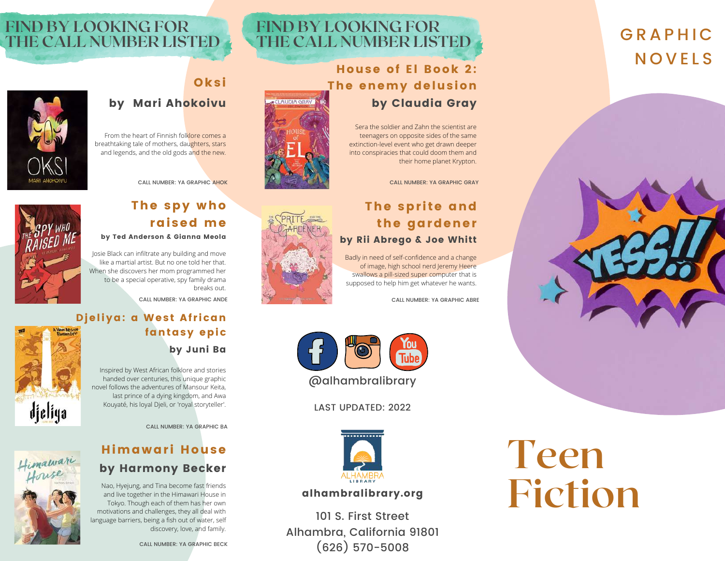# **GRAPHIC NOVELS**



# **FIND BY LOOKING FOR THE CALL NUMBER LISTED**

## House of El Book 2: The enemy delusion by Claudia Gray

Sera the soldier and Zahn the scientist are teenagers on opposite sides of the same extinction-level event who get drawn deeper into conspiracies that could doom them and their home planet Krypton.

CALL NUMBER: YA GRAPHIC GRAY

### The sprite and the gardener by Rii Abrego & Joe Whitt

Badly in need of self-confidence and a change of image, high school nerd Jeremy Heere swallows a pill-sized super computer that is supposed to help him get whatever he wants.

CALL NUMBER: YA GRAPHIC ABRE



# by Mari Ahokoivu

**Oksi** 

From the heart of Finnish folklore comes a breathtaking tale of mothers, daughters, stars and legends, and the old gods and the new.

# The spy who CALL NUMBER: YA GRAPHIC AHOK

raised me

by Ted Anderson & Gianna Meola

Josie Black can infiltrate any building and move like a martial artist. But no one told her that. When she discovers her mom programmed her to be a special operative, spy family drama breaks out.

CALL NUMBER: YA GRAPHIC ANDE

### Djeliya: a West African fantasy epic by Juni Ba



Himawari

Inspired by West African folklore and stories handed over centuries, this unique graphic novel follows the adventures of Mansour Keita, last prince of a dying kingdom, and Awa Kouyaté, his loyal Djeli, or 'royal storyteller'.

CALL NUMBER: YA GRAPHIC BA

# Himawari House by Harmony Becker

Nao, Hyejung, and Tina become fast friends and live together in the Himawari House in Tokyo. Though each of them has her own motivations and challenges, they all deal with language barriers, being a fish out of water, self discovery, love, and family.





### alhambralibrary.org

101 S. First Street Alhambra, California 91801 (626) 570-5008

# **Teen Fiction**



**FIND BY LOOKING FOR**

**THE CALL NUMBER LISTED**